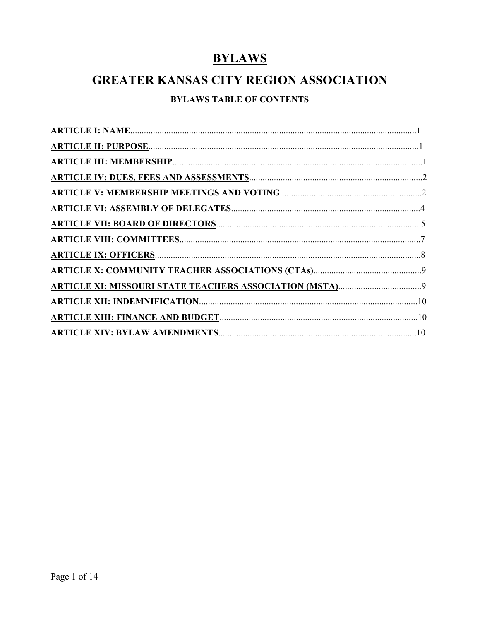# **BYLAWS**

# **GREATER KANSAS CITY REGION ASSOCIATION**

## **BYLAWS TABLE OF CONTENTS**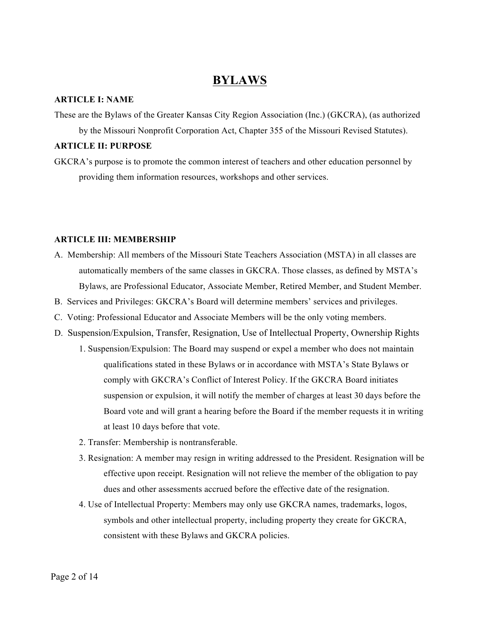## **BYLAWS**

## **ARTICLE I: NAME**

These are the Bylaws of the Greater Kansas City Region Association (Inc.) (GKCRA), (as authorized by the Missouri Nonprofit Corporation Act, Chapter 355 of the Missouri Revised Statutes).

## **ARTICLE II: PURPOSE**

GKCRA's purpose is to promote the common interest of teachers and other education personnel by providing them information resources, workshops and other services.

## **ARTICLE III: MEMBERSHIP**

- A. Membership: All members of the Missouri State Teachers Association (MSTA) in all classes are automatically members of the same classes in GKCRA. Those classes, as defined by MSTA's Bylaws, are Professional Educator, Associate Member, Retired Member, and Student Member.
- B. Services and Privileges: GKCRA's Board will determine members' services and privileges.
- C. Voting: Professional Educator and Associate Members will be the only voting members.
- D. Suspension/Expulsion, Transfer, Resignation, Use of Intellectual Property, Ownership Rights 1. Suspension/Expulsion: The Board may suspend or expel a member who does not maintain qualifications stated in these Bylaws or in accordance with MSTA's State Bylaws or comply with GKCRA's Conflict of Interest Policy. If the GKCRA Board initiates suspension or expulsion, it will notify the member of charges at least 30 days before the Board vote and will grant a hearing before the Board if the member requests it in writing at least 10 days before that vote.
	- 2. Transfer: Membership is nontransferable.
	- 3. Resignation: A member may resign in writing addressed to the President. Resignation will be effective upon receipt. Resignation will not relieve the member of the obligation to pay dues and other assessments accrued before the effective date of the resignation.
	- 4. Use of Intellectual Property: Members may only use GKCRA names, trademarks, logos, symbols and other intellectual property, including property they create for GKCRA, consistent with these Bylaws and GKCRA policies.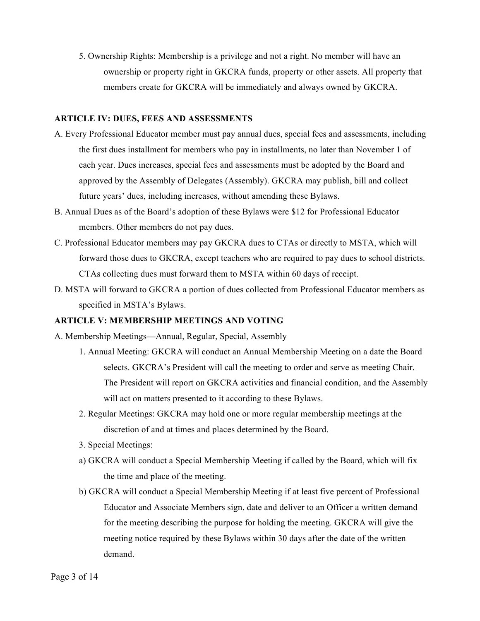5. Ownership Rights: Membership is a privilege and not a right. No member will have an ownership or property right in GKCRA funds, property or other assets. All property that members create for GKCRA will be immediately and always owned by GKCRA.

## **ARTICLE IV: DUES, FEES AND ASSESSMENTS**

- A. Every Professional Educator member must pay annual dues, special fees and assessments, including the first dues installment for members who pay in installments, no later than November 1 of each year. Dues increases, special fees and assessments must be adopted by the Board and approved by the Assembly of Delegates (Assembly). GKCRA may publish, bill and collect future years' dues, including increases, without amending these Bylaws.
- B. Annual Dues as of the Board's adoption of these Bylaws were \$12 for Professional Educator members. Other members do not pay dues.
- C. Professional Educator members may pay GKCRA dues to CTAs or directly to MSTA, which will forward those dues to GKCRA, except teachers who are required to pay dues to school districts. CTAs collecting dues must forward them to MSTA within 60 days of receipt.
- D. MSTA will forward to GKCRA a portion of dues collected from Professional Educator members as specified in MSTA's Bylaws.

## **ARTICLE V: MEMBERSHIP MEETINGS AND VOTING**

- A. Membership Meetings—Annual, Regular, Special, Assembly
	- 1. Annual Meeting: GKCRA will conduct an Annual Membership Meeting on a date the Board selects. GKCRA's President will call the meeting to order and serve as meeting Chair. The President will report on GKCRA activities and financial condition, and the Assembly will act on matters presented to it according to these Bylaws.
	- 2. Regular Meetings: GKCRA may hold one or more regular membership meetings at the discretion of and at times and places determined by the Board.
	- 3. Special Meetings:
	- a) GKCRA will conduct a Special Membership Meeting if called by the Board, which will fix the time and place of the meeting.
	- b) GKCRA will conduct a Special Membership Meeting if at least five percent of Professional Educator and Associate Members sign, date and deliver to an Officer a written demand for the meeting describing the purpose for holding the meeting. GKCRA will give the meeting notice required by these Bylaws within 30 days after the date of the written demand.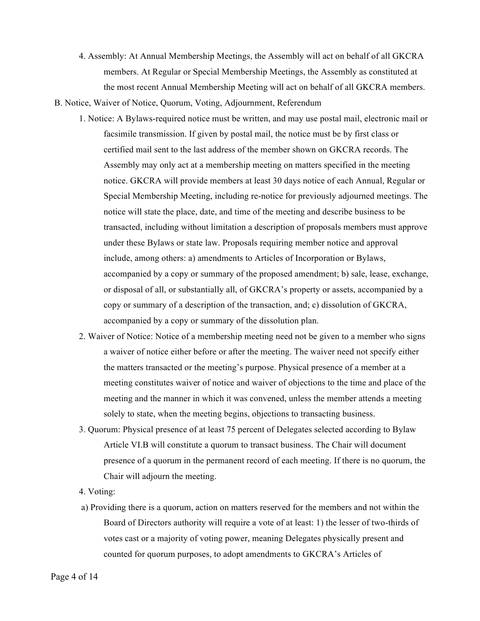- 4. Assembly: At Annual Membership Meetings, the Assembly will act on behalf of all GKCRA members. At Regular or Special Membership Meetings, the Assembly as constituted at the most recent Annual Membership Meeting will act on behalf of all GKCRA members.
- B. Notice, Waiver of Notice, Quorum, Voting, Adjournment, Referendum
	- 1. Notice: A Bylaws-required notice must be written, and may use postal mail, electronic mail or facsimile transmission. If given by postal mail, the notice must be by first class or certified mail sent to the last address of the member shown on GKCRA records. The Assembly may only act at a membership meeting on matters specified in the meeting notice. GKCRA will provide members at least 30 days notice of each Annual, Regular or Special Membership Meeting, including re-notice for previously adjourned meetings. The notice will state the place, date, and time of the meeting and describe business to be transacted, including without limitation a description of proposals members must approve under these Bylaws or state law. Proposals requiring member notice and approval include, among others: a) amendments to Articles of Incorporation or Bylaws, accompanied by a copy or summary of the proposed amendment; b) sale, lease, exchange, or disposal of all, or substantially all, of GKCRA's property or assets, accompanied by a copy or summary of a description of the transaction, and; c) dissolution of GKCRA, accompanied by a copy or summary of the dissolution plan.
	- 2. Waiver of Notice: Notice of a membership meeting need not be given to a member who signs a waiver of notice either before or after the meeting. The waiver need not specify either the matters transacted or the meeting's purpose. Physical presence of a member at a meeting constitutes waiver of notice and waiver of objections to the time and place of the meeting and the manner in which it was convened, unless the member attends a meeting solely to state, when the meeting begins, objections to transacting business.
	- 3. Quorum: Physical presence of at least 75 percent of Delegates selected according to Bylaw Article VI.B will constitute a quorum to transact business. The Chair will document presence of a quorum in the permanent record of each meeting. If there is no quorum, the Chair will adjourn the meeting.
	- 4. Voting:
	- a) Providing there is a quorum, action on matters reserved for the members and not within the Board of Directors authority will require a vote of at least: 1) the lesser of two-thirds of votes cast or a majority of voting power, meaning Delegates physically present and counted for quorum purposes, to adopt amendments to GKCRA's Articles of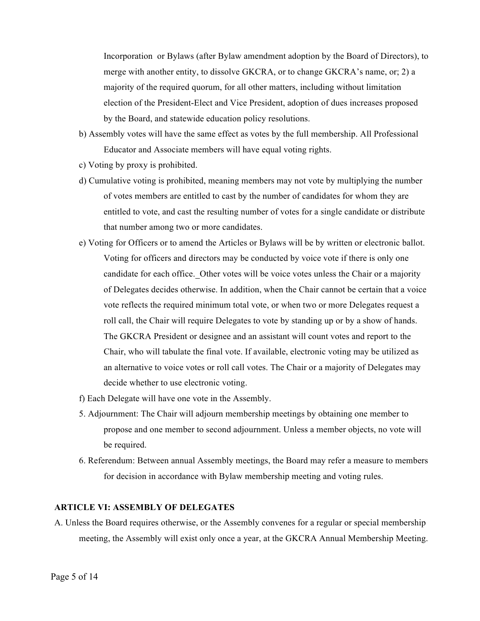Incorporation or Bylaws (after Bylaw amendment adoption by the Board of Directors), to merge with another entity, to dissolve GKCRA, or to change GKCRA's name, or; 2) a majority of the required quorum, for all other matters, including without limitation election of the President-Elect and Vice President, adoption of dues increases proposed by the Board, and statewide education policy resolutions.

- b) Assembly votes will have the same effect as votes by the full membership. All Professional Educator and Associate members will have equal voting rights.
- c) Voting by proxy is prohibited.
- d) Cumulative voting is prohibited, meaning members may not vote by multiplying the number of votes members are entitled to cast by the number of candidates for whom they are entitled to vote, and cast the resulting number of votes for a single candidate or distribute that number among two or more candidates.
- e) Voting for Officers or to amend the Articles or Bylaws will be by written or electronic ballot. Voting for officers and directors may be conducted by voice vote if there is only one candidate for each office.Other votes will be voice votes unless the Chair or a majority of Delegates decides otherwise. In addition, when the Chair cannot be certain that a voice vote reflects the required minimum total vote, or when two or more Delegates request a roll call, the Chair will require Delegates to vote by standing up or by a show of hands. The GKCRA President or designee and an assistant will count votes and report to the Chair, who will tabulate the final vote. If available, electronic voting may be utilized as an alternative to voice votes or roll call votes. The Chair or a majority of Delegates may decide whether to use electronic voting.
- f) Each Delegate will have one vote in the Assembly.
- 5. Adjournment: The Chair will adjourn membership meetings by obtaining one member to propose and one member to second adjournment. Unless a member objects, no vote will be required.
- 6. Referendum: Between annual Assembly meetings, the Board may refer a measure to members for decision in accordance with Bylaw membership meeting and voting rules.

#### **ARTICLE VI: ASSEMBLY OF DELEGATES**

A. Unless the Board requires otherwise, or the Assembly convenes for a regular or special membership meeting, the Assembly will exist only once a year, at the GKCRA Annual Membership Meeting.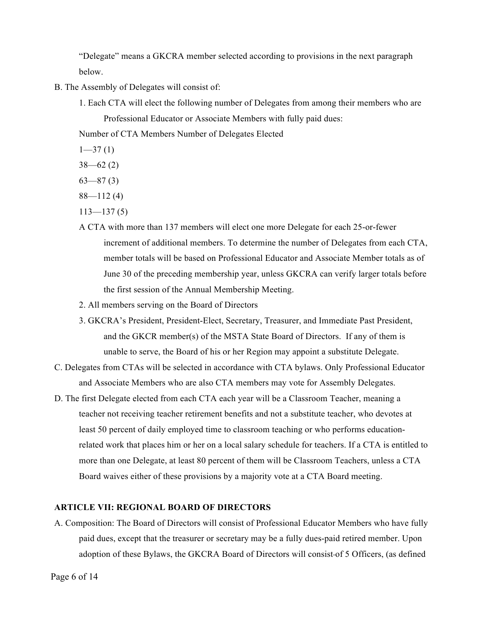"Delegate" means a GKCRA member selected according to provisions in the next paragraph below.

- B. The Assembly of Delegates will consist of:
	- 1. Each CTA will elect the following number of Delegates from among their members who are Professional Educator or Associate Members with fully paid dues:

Number of CTA Members Number of Delegates Elected

 $1 - 37(1)$ 

 $38 - 62(2)$ 

- $63 87(3)$
- $88 112(4)$
- $113 137(5)$
- A CTA with more than 137 members will elect one more Delegate for each 25-or-fewer increment of additional members. To determine the number of Delegates from each CTA, member totals will be based on Professional Educator and Associate Member totals as of June 30 of the preceding membership year, unless GKCRA can verify larger totals before the first session of the Annual Membership Meeting.
- 2. All members serving on the Board of Directors
- 3. GKCRA's President, President-Elect, Secretary, Treasurer, and Immediate Past President, and the GKCR member(s) of the MSTA State Board of Directors. If any of them is unable to serve, the Board of his or her Region may appoint a substitute Delegate.
- C. Delegates from CTAs will be selected in accordance with CTA bylaws. Only Professional Educator and Associate Members who are also CTA members may vote for Assembly Delegates.
- D. The first Delegate elected from each CTA each year will be a Classroom Teacher, meaning a teacher not receiving teacher retirement benefits and not a substitute teacher, who devotes at least 50 percent of daily employed time to classroom teaching or who performs educationrelated work that places him or her on a local salary schedule for teachers. If a CTA is entitled to more than one Delegate, at least 80 percent of them will be Classroom Teachers, unless a CTA Board waives either of these provisions by a majority vote at a CTA Board meeting.

#### **ARTICLE VII: REGIONAL BOARD OF DIRECTORS**

A. Composition: The Board of Directors will consist of Professional Educator Members who have fully paid dues, except that the treasurer or secretary may be a fully dues-paid retired member. Upon adoption of these Bylaws, the GKCRA Board of Directors will consist of 5 Officers, (as defined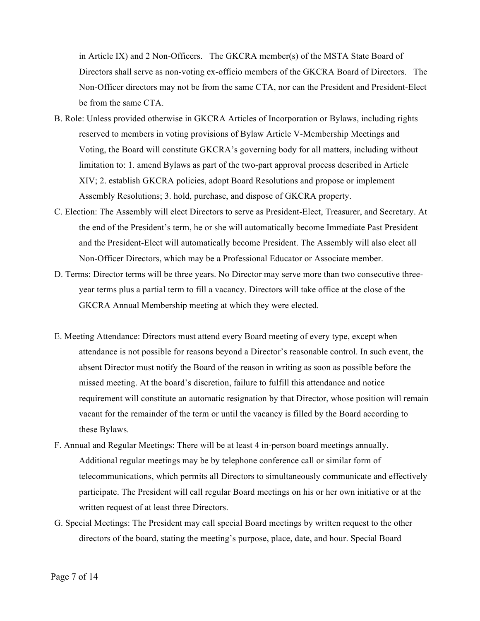in Article IX) and 2 Non-Officers. The GKCRA member(s) of the MSTA State Board of Directors shall serve as non-voting ex-officio members of the GKCRA Board of Directors. The Non-Officer directors may not be from the same CTA, nor can the President and President-Elect be from the same CTA.

- B. Role: Unless provided otherwise in GKCRA Articles of Incorporation or Bylaws, including rights reserved to members in voting provisions of Bylaw Article V-Membership Meetings and Voting, the Board will constitute GKCRA's governing body for all matters, including without limitation to: 1. amend Bylaws as part of the two-part approval process described in Article XIV; 2. establish GKCRA policies, adopt Board Resolutions and propose or implement Assembly Resolutions; 3. hold, purchase, and dispose of GKCRA property.
- C. Election: The Assembly will elect Directors to serve as President-Elect, Treasurer, and Secretary. At the end of the President's term, he or she will automatically become Immediate Past President and the President-Elect will automatically become President. The Assembly will also elect all Non-Officer Directors, which may be a Professional Educator or Associate member.
- D. Terms: Director terms will be three years. No Director may serve more than two consecutive threeyear terms plus a partial term to fill a vacancy. Directors will take office at the close of the GKCRA Annual Membership meeting at which they were elected.
- E. Meeting Attendance: Directors must attend every Board meeting of every type, except when attendance is not possible for reasons beyond a Director's reasonable control. In such event, the absent Director must notify the Board of the reason in writing as soon as possible before the missed meeting. At the board's discretion, failure to fulfill this attendance and notice requirement will constitute an automatic resignation by that Director, whose position will remain vacant for the remainder of the term or until the vacancy is filled by the Board according to these Bylaws.
- F. Annual and Regular Meetings: There will be at least 4 in-person board meetings annually. Additional regular meetings may be by telephone conference call or similar form of telecommunications, which permits all Directors to simultaneously communicate and effectively participate. The President will call regular Board meetings on his or her own initiative or at the written request of at least three Directors.
- G. Special Meetings: The President may call special Board meetings by written request to the other directors of the board, stating the meeting's purpose, place, date, and hour. Special Board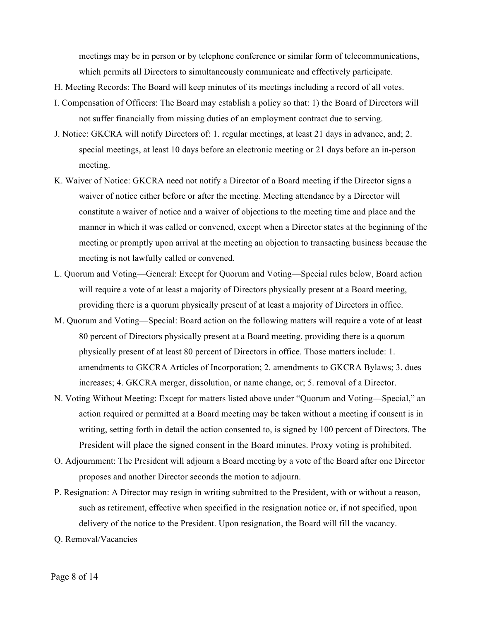meetings may be in person or by telephone conference or similar form of telecommunications, which permits all Directors to simultaneously communicate and effectively participate.

- H. Meeting Records: The Board will keep minutes of its meetings including a record of all votes.
- I. Compensation of Officers: The Board may establish a policy so that: 1) the Board of Directors will not suffer financially from missing duties of an employment contract due to serving.
- J. Notice: GKCRA will notify Directors of: 1. regular meetings, at least 21 days in advance, and; 2. special meetings, at least 10 days before an electronic meeting or 21 days before an in-person meeting.
- K. Waiver of Notice: GKCRA need not notify a Director of a Board meeting if the Director signs a waiver of notice either before or after the meeting. Meeting attendance by a Director will constitute a waiver of notice and a waiver of objections to the meeting time and place and the manner in which it was called or convened, except when a Director states at the beginning of the meeting or promptly upon arrival at the meeting an objection to transacting business because the meeting is not lawfully called or convened.
- L. Quorum and Voting—General: Except for Quorum and Voting—Special rules below, Board action will require a vote of at least a majority of Directors physically present at a Board meeting, providing there is a quorum physically present of at least a majority of Directors in office.
- M. Quorum and Voting—Special: Board action on the following matters will require a vote of at least 80 percent of Directors physically present at a Board meeting, providing there is a quorum physically present of at least 80 percent of Directors in office. Those matters include: 1. amendments to GKCRA Articles of Incorporation; 2. amendments to GKCRA Bylaws; 3. dues increases; 4. GKCRA merger, dissolution, or name change, or; 5. removal of a Director.
- N. Voting Without Meeting: Except for matters listed above under "Quorum and Voting—Special," an action required or permitted at a Board meeting may be taken without a meeting if consent is in writing, setting forth in detail the action consented to, is signed by 100 percent of Directors. The President will place the signed consent in the Board minutes. Proxy voting is prohibited.
- O. Adjournment: The President will adjourn a Board meeting by a vote of the Board after one Director proposes and another Director seconds the motion to adjourn.
- P. Resignation: A Director may resign in writing submitted to the President, with or without a reason, such as retirement, effective when specified in the resignation notice or, if not specified, upon delivery of the notice to the President. Upon resignation, the Board will fill the vacancy.
- Q. Removal/Vacancies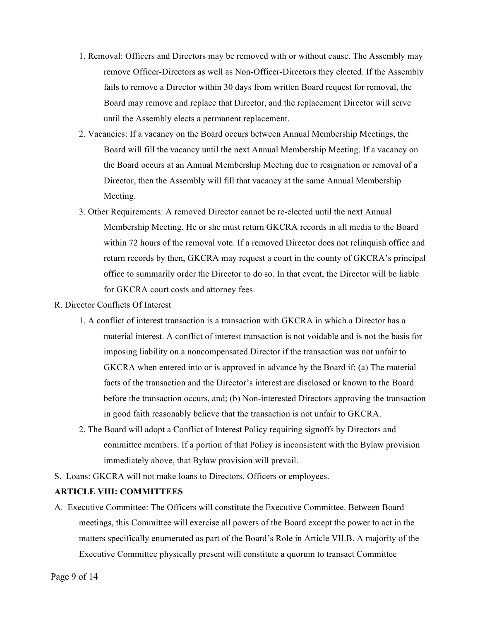- 1. Removal: Officers and Directors may be removed with or without cause. The Assembly may remove Officer-Directors as well as Non-Officer-Directors they elected. If the Assembly fails to remove a Director within 30 days from written Board request for removal, the Board may remove and replace that Director, and the replacement Director will serve until the Assembly elects a permanent replacement.
- 2. Vacancies: If a vacancy on the Board occurs between Annual Membership Meetings, the Board will fill the vacancy until the next Annual Membership Meeting. If a vacancy on the Board occurs at an Annual Membership Meeting due to resignation or removal of a Director, then the Assembly will fill that vacancy at the same Annual Membership Meeting.
- 3. Other Requirements: A removed Director cannot be re-elected until the next Annual Membership Meeting. He or she must return GKCRA records in all media to the Board within 72 hours of the removal vote. If a removed Director does not relinquish office and return records by then, GKCRA may request a court in the county of GKCRA's principal office to summarily order the Director to do so. In that event, the Director will be liable for GKCRA court costs and attorney fees.
- R. Director Conflicts Of Interest
	- 1. A conflict of interest transaction is a transaction with GKCRA in which a Director has a material interest. A conflict of interest transaction is not voidable and is not the basis for imposing liability on a noncompensated Director if the transaction was not unfair to GKCRA when entered into or is approved in advance by the Board if: (a) The material facts of the transaction and the Director's interest are disclosed or known to the Board before the transaction occurs, and; (b) Non-interested Directors approving the transaction in good faith reasonably believe that the transaction is not unfair to GKCRA.
	- 2. The Board will adopt a Conflict of Interest Policy requiring signoffs by Directors and committee members. If a portion of that Policy is inconsistent with the Bylaw provision immediately above, that Bylaw provision will prevail.
- S. Loans: GKCRA will not make loans to Directors, Officers or employees.

## **ARTICLE VIII: COMMITTEES**

A. Executive Committee: The Officers will constitute the Executive Committee. Between Board meetings, this Committee will exercise all powers of the Board except the power to act in the matters specifically enumerated as part of the Board's Role in Article VII.B. A majority of the Executive Committee physically present will constitute a quorum to transact Committee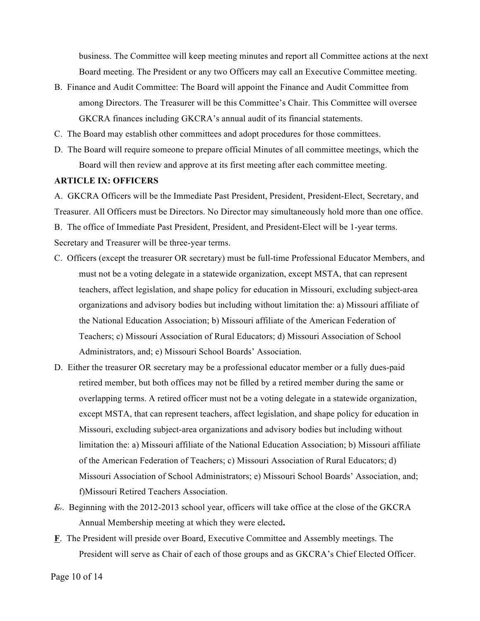business. The Committee will keep meeting minutes and report all Committee actions at the next Board meeting. The President or any two Officers may call an Executive Committee meeting.

- B. Finance and Audit Committee: The Board will appoint the Finance and Audit Committee from among Directors. The Treasurer will be this Committee's Chair. This Committee will oversee GKCRA finances including GKCRA's annual audit of its financial statements.
- C. The Board may establish other committees and adopt procedures for those committees.
- D. The Board will require someone to prepare official Minutes of all committee meetings, which the Board will then review and approve at its first meeting after each committee meeting.

## **ARTICLE IX: OFFICERS**

A. GKCRA Officers will be the Immediate Past President, President, President-Elect, Secretary, and Treasurer. All Officers must be Directors. No Director may simultaneously hold more than one office. B. The office of Immediate Past President, President, and President-Elect will be 1-year terms. Secretary and Treasurer will be three-year terms.

- C. Officers (except the treasurer OR secretary) must be full-time Professional Educator Members, and must not be a voting delegate in a statewide organization, except MSTA, that can represent teachers, affect legislation, and shape policy for education in Missouri, excluding subject-area organizations and advisory bodies but including without limitation the: a) Missouri affiliate of the National Education Association; b) Missouri affiliate of the American Federation of Teachers; c) Missouri Association of Rural Educators; d) Missouri Association of School Administrators, and; e) Missouri School Boards' Association.
- D. Either the treasurer OR secretary may be a professional educator member or a fully dues-paid retired member, but both offices may not be filled by a retired member during the same or overlapping terms. A retired officer must not be a voting delegate in a statewide organization, except MSTA, that can represent teachers, affect legislation, and shape policy for education in Missouri, excluding subject-area organizations and advisory bodies but including without limitation the: a) Missouri affiliate of the National Education Association; b) Missouri affiliate of the American Federation of Teachers; c) Missouri Association of Rural Educators; d) Missouri Association of School Administrators; e) Missouri School Boards' Association, and; f)Missouri Retired Teachers Association.
- *E.*. Beginning with the 2012-2013 school year, officers will take office at the close of the GKCRA Annual Membership meeting at which they were elected**.**
- **F**. The President will preside over Board, Executive Committee and Assembly meetings. The President will serve as Chair of each of those groups and as GKCRA's Chief Elected Officer.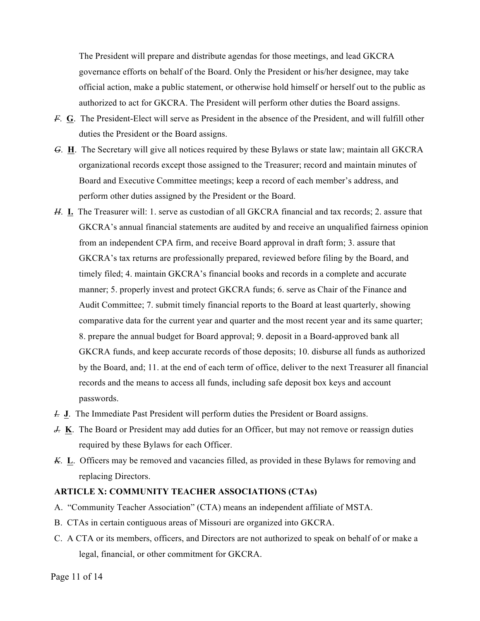The President will prepare and distribute agendas for those meetings, and lead GKCRA governance efforts on behalf of the Board. Only the President or his/her designee, may take official action, make a public statement, or otherwise hold himself or herself out to the public as authorized to act for GKCRA. The President will perform other duties the Board assigns.

- *F*. **G**. The President-Elect will serve as President in the absence of the President, and will fulfill other duties the President or the Board assigns.
- *G*. **H**. The Secretary will give all notices required by these Bylaws or state law; maintain all GKCRA organizational records except those assigned to the Treasurer; record and maintain minutes of Board and Executive Committee meetings; keep a record of each member's address, and perform other duties assigned by the President or the Board.
- *H*. **I.** The Treasurer will: 1. serve as custodian of all GKCRA financial and tax records; 2. assure that GKCRA's annual financial statements are audited by and receive an unqualified fairness opinion from an independent CPA firm, and receive Board approval in draft form; 3. assure that GKCRA's tax returns are professionally prepared, reviewed before filing by the Board, and timely filed; 4. maintain GKCRA's financial books and records in a complete and accurate manner; 5. properly invest and protect GKCRA funds; 6. serve as Chair of the Finance and Audit Committee; 7. submit timely financial reports to the Board at least quarterly, showing comparative data for the current year and quarter and the most recent year and its same quarter; 8. prepare the annual budget for Board approval; 9. deposit in a Board-approved bank all GKCRA funds, and keep accurate records of those deposits; 10. disburse all funds as authorized by the Board, and; 11. at the end of each term of office, deliver to the next Treasurer all financial records and the means to access all funds, including safe deposit box keys and account passwords.
- *I.* **J**. The Immediate Past President will perform duties the President or Board assigns.
- *J.* K. The Board or President may add duties for an Officer, but may not remove or reassign duties required by these Bylaws for each Officer.
- *K*. **L**. Officers may be removed and vacancies filled, as provided in these Bylaws for removing and replacing Directors.

## **ARTICLE X: COMMUNITY TEACHER ASSOCIATIONS (CTAs)**

- A. "Community Teacher Association" (CTA) means an independent affiliate of MSTA.
- B. CTAs in certain contiguous areas of Missouri are organized into GKCRA.
- C. A CTA or its members, officers, and Directors are not authorized to speak on behalf of or make a legal, financial, or other commitment for GKCRA.

Page 11 of 14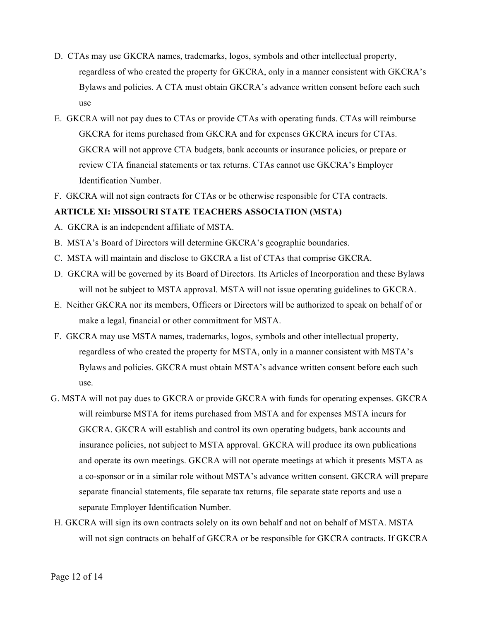- D. CTAs may use GKCRA names, trademarks, logos, symbols and other intellectual property, regardless of who created the property for GKCRA, only in a manner consistent with GKCRA's Bylaws and policies. A CTA must obtain GKCRA's advance written consent before each such use
- E. GKCRA will not pay dues to CTAs or provide CTAs with operating funds. CTAs will reimburse GKCRA for items purchased from GKCRA and for expenses GKCRA incurs for CTAs. GKCRA will not approve CTA budgets, bank accounts or insurance policies, or prepare or review CTA financial statements or tax returns. CTAs cannot use GKCRA's Employer Identification Number.
- F. GKCRA will not sign contracts for CTAs or be otherwise responsible for CTA contracts.

## **ARTICLE XI: MISSOURI STATE TEACHERS ASSOCIATION (MSTA)**

- A. GKCRA is an independent affiliate of MSTA.
- B. MSTA's Board of Directors will determine GKCRA's geographic boundaries.
- C. MSTA will maintain and disclose to GKCRA a list of CTAs that comprise GKCRA.
- D. GKCRA will be governed by its Board of Directors. Its Articles of Incorporation and these Bylaws will not be subject to MSTA approval. MSTA will not issue operating guidelines to GKCRA.
- E. Neither GKCRA nor its members, Officers or Directors will be authorized to speak on behalf of or make a legal, financial or other commitment for MSTA.
- F. GKCRA may use MSTA names, trademarks, logos, symbols and other intellectual property, regardless of who created the property for MSTA, only in a manner consistent with MSTA's Bylaws and policies. GKCRA must obtain MSTA's advance written consent before each such use.
- G. MSTA will not pay dues to GKCRA or provide GKCRA with funds for operating expenses. GKCRA will reimburse MSTA for items purchased from MSTA and for expenses MSTA incurs for GKCRA. GKCRA will establish and control its own operating budgets, bank accounts and insurance policies, not subject to MSTA approval. GKCRA will produce its own publications and operate its own meetings. GKCRA will not operate meetings at which it presents MSTA as a co-sponsor or in a similar role without MSTA's advance written consent. GKCRA will prepare separate financial statements, file separate tax returns, file separate state reports and use a separate Employer Identification Number.
- H. GKCRA will sign its own contracts solely on its own behalf and not on behalf of MSTA. MSTA will not sign contracts on behalf of GKCRA or be responsible for GKCRA contracts. If GKCRA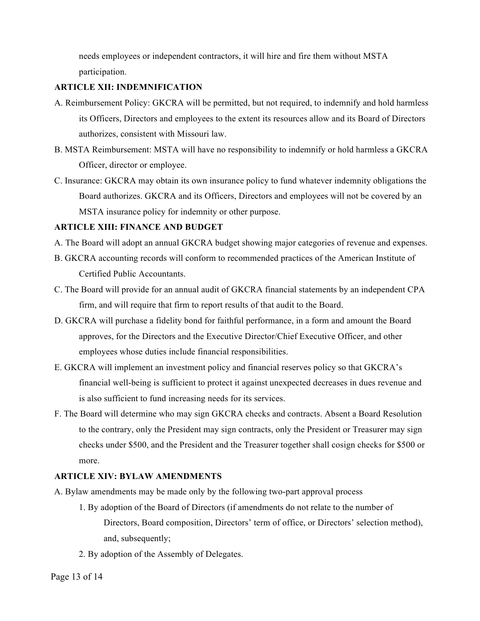needs employees or independent contractors, it will hire and fire them without MSTA participation.

## **ARTICLE XII: INDEMNIFICATION**

- A. Reimbursement Policy: GKCRA will be permitted, but not required, to indemnify and hold harmless its Officers, Directors and employees to the extent its resources allow and its Board of Directors authorizes, consistent with Missouri law.
- B. MSTA Reimbursement: MSTA will have no responsibility to indemnify or hold harmless a GKCRA Officer, director or employee.
- C. Insurance: GKCRA may obtain its own insurance policy to fund whatever indemnity obligations the Board authorizes. GKCRA and its Officers, Directors and employees will not be covered by an MSTA insurance policy for indemnity or other purpose.

## **ARTICLE XIII: FINANCE AND BUDGET**

- A. The Board will adopt an annual GKCRA budget showing major categories of revenue and expenses.
- B. GKCRA accounting records will conform to recommended practices of the American Institute of Certified Public Accountants.
- C. The Board will provide for an annual audit of GKCRA financial statements by an independent CPA firm, and will require that firm to report results of that audit to the Board.
- D. GKCRA will purchase a fidelity bond for faithful performance, in a form and amount the Board approves, for the Directors and the Executive Director/Chief Executive Officer, and other employees whose duties include financial responsibilities.
- E. GKCRA will implement an investment policy and financial reserves policy so that GKCRA's financial well-being is sufficient to protect it against unexpected decreases in dues revenue and is also sufficient to fund increasing needs for its services.
- F. The Board will determine who may sign GKCRA checks and contracts. Absent a Board Resolution to the contrary, only the President may sign contracts, only the President or Treasurer may sign checks under \$500, and the President and the Treasurer together shall cosign checks for \$500 or more.

## **ARTICLE XIV: BYLAW AMENDMENTS**

- A. Bylaw amendments may be made only by the following two-part approval process
	- 1. By adoption of the Board of Directors (if amendments do not relate to the number of Directors, Board composition, Directors' term of office, or Directors' selection method), and, subsequently;
	- 2. By adoption of the Assembly of Delegates.